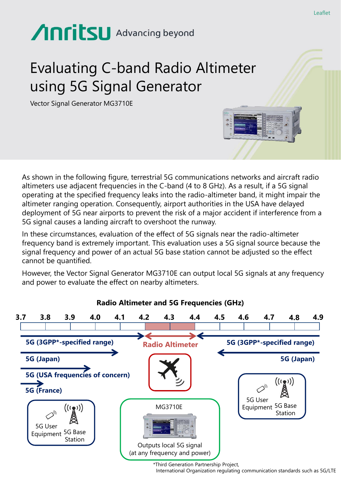# **Anritsu** Advancing beyond

## Evaluating C-band Radio Altimeter using 5G Signal Generator

Vector Signal Generator MG3710E

As shown in the following figure, terrestrial 5G communications networks and aircraft radio altimeters use adjacent frequencies in the C-band (4 to 8 GHz). As a result, if a 5G signal operating at the specified frequency leaks into the radio-altimeter band, it might impair the altimeter ranging operation. Consequently, airport authorities in the USA have delayed deployment of 5G near airports to prevent the risk of a major accident if interference from a 5G signal causes a landing aircraft to overshoot the runway.

In these circumstances, evaluation of the effect of 5G signals near the radio-altimeter frequency band is extremely important. This evaluation uses a 5G signal source because the signal frequency and power of an actual 5G base station cannot be adjusted so the effect cannot be quantified.

However, the Vector Signal Generator MG3710E can output local 5G signals at any frequency and power to evaluate the effect on nearby altimeters.



\*Third Generation Partnership Project,

International Organization regulating communication standards such as 5G/LTE